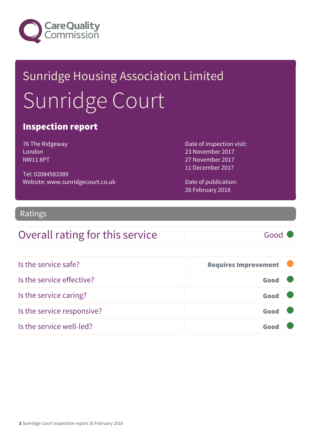

# Sunridge Housing Association Limited Sunridge Court

### Inspection report

76 The Ridgeway London NW11 8PT

Tel: 02084583389 Website: www.sunridgecourt.co.uk Date of inspection visit: 23 November 2017 27 November 2017 11 December 2017

Date of publication: 26 February 2018

### Ratings

### Overall rating for this service Good

Is the service safe? The service safe of the service safe of the service safe of the service safe of the service safe of the service service safe of the service service service service service service service service servi Is the service effective? Contact the service effective? Is the service caring? Good Is the service responsive? Contact the service responsive? Is the service well-led? Good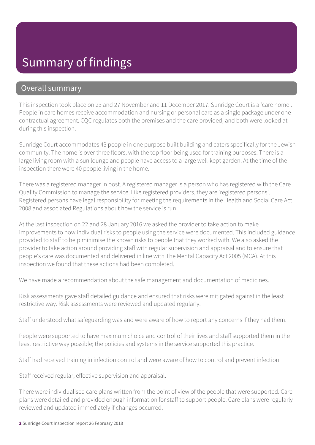## Summary of findings

### Overall summary

This inspection took place on 23 and 27 November and 11 December 2017. Sunridge Court is a 'care home'. People in care homes receive accommodation and nursing or personal care as a single package under one contractual agreement. CQC regulates both the premises and the care provided, and both were looked at during this inspection.

Sunridge Court accommodates 43 people in one purpose built building and caters specifically for the Jewish community. The home is over three floors, with the top floor being used for training purposes. There is a large living room with a sun lounge and people have access to a large well-kept garden. At the time of the inspection there were 40 people living in the home.

There was a registered manager in post. A registered manager is a person who has registered with the Care Quality Commission to manage the service. Like registered providers, they are 'registered persons'. Registered persons have legal responsibility for meeting the requirements in the Health and Social Care Act 2008 and associated Regulations about how the service is run.

At the last inspection on 22 and 28 January 2016 we asked the provider to take action to make improvements to how individual risks to people using the service were documented. This included guidance provided to staff to help minimise the known risks to people that they worked with. We also asked the provider to take action around providing staff with regular supervision and appraisal and to ensure that people's care was documented and delivered in line with The Mental Capacity Act 2005 (MCA). At this inspection we found that these actions had been completed.

We have made a recommendation about the safe management and documentation of medicines.

Risk assessments gave staff detailed guidance and ensured that risks were mitigated against in the least restrictive way. Risk assessments were reviewed and updated regularly.

Staff understood what safeguarding was and were aware of how to report any concerns if they had them.

People were supported to have maximum choice and control of their lives and staff supported them in the least restrictive way possible; the policies and systems in the service supported this practice.

Staff had received training in infection control and were aware of how to control and prevent infection.

Staff received regular, effective supervision and appraisal.

There were individualised care plans written from the point of view of the people that were supported. Care plans were detailed and provided enough information for staff to support people. Care plans were regularly reviewed and updated immediately if changes occurred.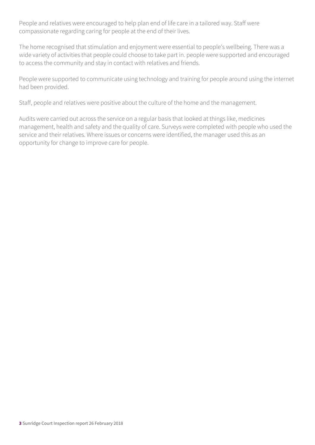People and relatives were encouraged to help plan end of life care in a tailored way. Staff were compassionate regarding caring for people at the end of their lives.

The home recognised that stimulation and enjoyment were essential to people's wellbeing. There was a wide variety of activities that people could choose to take part in. people were supported and encouraged to access the community and stay in contact with relatives and friends.

People were supported to communicate using technology and training for people around using the internet had been provided.

Staff, people and relatives were positive about the culture of the home and the management.

Audits were carried out across the service on a regular basis that looked at things like, medicines management, health and safety and the quality of care. Surveys were completed with people who used the service and their relatives. Where issues or concerns were identified, the manager used this as an opportunity for change to improve care for people.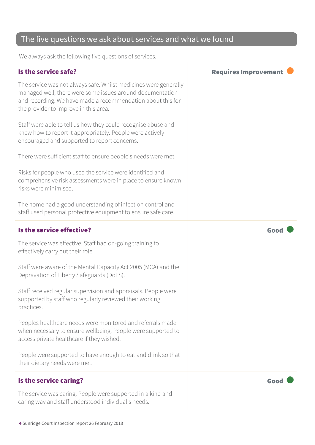### The five questions we ask about services and what we found

We always ask the following five questions of services.

The service was not always safe. Whilst medicines were generally managed well, there were some issues around documentation and recording. We have made a recommendation about this for the provider to improve in this area.

Staff were able to tell us how they could recognise abuse and knew how to report it appropriately. People were actively encouraged and supported to report concerns.

There were sufficient staff to ensure people's needs were met.

Risks for people who used the service were identified and comprehensive risk assessments were in place to ensure known risks were minimised.

The home had a good understanding of infection control and staff used personal protective equipment to ensure safe care.

#### Is the service effective?  $\Box$  Good  $\Box$  Good  $\Box$

The service was effective. Staff had on-going training to effectively carry out their role.

Staff were aware of the Mental Capacity Act 2005 (MCA) and the Depravation of Liberty Safeguards (DoLS).

Staff received regular supervision and appraisals. People were supported by staff who regularly reviewed their working practices.

Peoples healthcare needs were monitored and referrals made when necessary to ensure wellbeing. People were supported to access private healthcare if they wished.

People were supported to have enough to eat and drink so that their dietary needs were met.

### Is the service caring? The service caring of the service care  $\sim$  Good

The service was caring. People were supported in a kind and caring way and staff understood individual's needs.

Is the service safe? The service safe of the service safe of the service safe of the service safe of the service service service service service service service service service service service service service service servi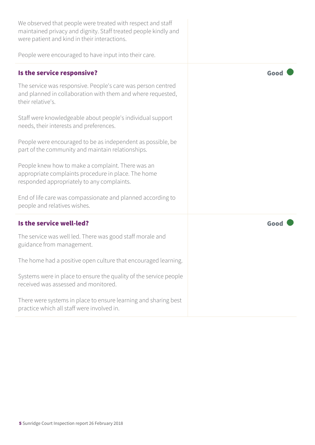| We observed that people were treated with respect and staff<br>maintained privacy and dignity. Staff treated people kindly and<br>were patient and kind in their interactions. |      |
|--------------------------------------------------------------------------------------------------------------------------------------------------------------------------------|------|
| People were encouraged to have input into their care.                                                                                                                          |      |
| Is the service responsive?                                                                                                                                                     | Good |
| The service was responsive. People's care was person centred<br>and planned in collaboration with them and where requested,<br>their relative's.                               |      |
| Staff were knowledgeable about people's individual support<br>needs, their interests and preferences.                                                                          |      |
| People were encouraged to be as independent as possible, be<br>part of the community and maintain relationships.                                                               |      |
| People knew how to make a complaint. There was an<br>appropriate complaints procedure in place. The home<br>responded appropriately to any complaints.                         |      |
| End of life care was compassionate and planned according to<br>people and relatives wishes.                                                                                    |      |
| Is the service well-led?                                                                                                                                                       | Good |
| The service was well led. There was good staff morale and<br>guidance from management.                                                                                         |      |
| The home had a positive open culture that encouraged learning.                                                                                                                 |      |
| Systems were in place to ensure the quality of the service people<br>received was assessed and monitored.                                                                      |      |
| There were systems in place to ensure learning and sharing best<br>practice which all staff were involved in.                                                                  |      |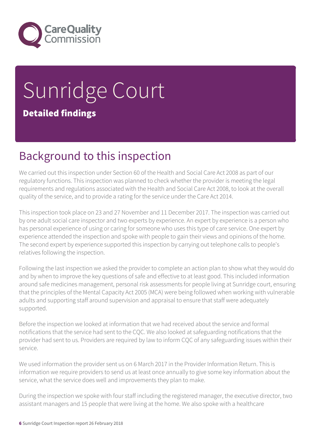

## Sunridge Court Detailed findings

## Background to this inspection

We carried out this inspection under Section 60 of the Health and Social Care Act 2008 as part of our regulatory functions. This inspection was planned to check whether the provider is meeting the legal requirements and regulations associated with the Health and Social Care Act 2008, to look at the overall quality of the service, and to provide a rating for the service under the Care Act 2014.

This inspection took place on 23 and 27 November and 11 December 2017. The inspection was carried out by one adult social care inspector and two experts by experience. An expert by experience is a person who has personal experience of using or caring for someone who uses this type of care service. One expert by experience attended the inspection and spoke with people to gain their views and opinions of the home. The second expert by experience supported this inspection by carrying out telephone calls to people's relatives following the inspection.

Following the last inspection we asked the provider to complete an action plan to show what they would do and by when to improve the key questions of safe and effective to at least good. This included information around safe medicines management, personal risk assessments for people living at Sunridge court, ensuring that the principles of the Mental Capacity Act 2005 (MCA) were being followed when working with vulnerable adults and supporting staff around supervision and appraisal to ensure that staff were adequately supported.

Before the inspection we looked at information that we had received about the service and formal notifications that the service had sent to the CQC. We also looked at safeguarding notifications that the provider had sent to us. Providers are required by law to inform CQC of any safeguarding issues within their service.

We used information the provider sent us on 6 March 2017 in the Provider Information Return. This is information we require providers to send us at least once annually to give some key information about the service, what the service does well and improvements they plan to make.

During the inspection we spoke with four staff including the registered manager, the executive director, two assistant managers and 15 people that were living at the home. We also spoke with a healthcare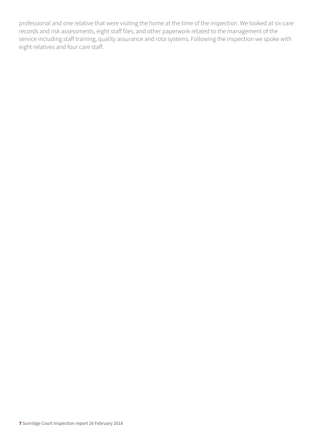professional and one relative that were visiting the home at the time of the inspection. We looked at six care records and risk assessments, eight staff files, and other paperwork related to the management of the service including staff training, quality assurance and rota systems. Following the inspection we spoke with eight relatives and four care staff.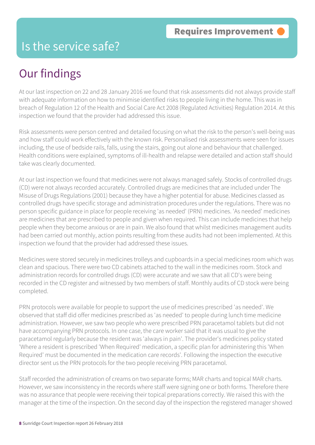## Is the service safe?

## Our findings

At our last inspection on 22 and 28 January 2016 we found that risk assessments did not always provide staff with adequate information on how to minimise identified risks to people living in the home. This was in breach of Regulation 12 of the Health and Social Care Act 2008 (Regulated Activities) Regulation 2014. At this inspection we found that the provider had addressed this issue.

Risk assessments were person centred and detailed focusing on what the risk to the person's well-being was and how staff could work effectively with the known risk. Personalised risk assessments were seen for issues including, the use of bedside rails, falls, using the stairs, going out alone and behaviour that challenged. Health conditions were explained, symptoms of ill-health and relapse were detailed and action staff should take was clearly documented.

At our last inspection we found that medicines were not always managed safely. Stocks of controlled drugs (CD) were not always recorded accurately. Controlled drugs are medicines that are included under The Misuse of Drugs Regulations (2001) because they have a higher potential for abuse. Medicines classed as controlled drugs have specific storage and administration procedures under the regulations. There was no person specific guidance in place for people receiving 'as needed' (PRN) medicines. 'As needed' medicines are medicines that are prescribed to people and given when required. This can include medicines that help people when they become anxious or are in pain. We also found that whilst medicines management audits had been carried out monthly, action points resulting from these audits had not been implemented. At this inspection we found that the provider had addressed these issues.

Medicines were stored securely in medicines trolleys and cupboards in a special medicines room which was clean and spacious. There were two CD cabinets attached to the wall in the medicines room. Stock and administration records for controlled drugs (CD) were accurate and we saw that all CD's were being recorded in the CD register and witnessed by two members of staff. Monthly audits of CD stock were being completed.

PRN protocols were available for people to support the use of medicines prescribed 'as needed'. We observed that staff did offer medicines prescribed as 'as needed' to people during lunch time medicine administration. However, we saw two people who were prescribed PRN paracetamol tablets but did not have accompanying PRN protocols. In one case, the care worker said that it was usual to give the paracetamol regularly because the resident was 'always in pain'. The provider's medicines policy stated 'Where a resident is prescribed 'When Required' medication, a specific plan for administering this 'When Required' must be documented in the medication care records'. Following the inspection the executive director sent us the PRN protocols for the two people receiving PRN paracetamol.

Staff recorded the administration of creams on two separate forms; MAR charts and topical MAR charts. However, we saw inconsistency in the records where staff were signing one or both forms. Therefore there was no assurance that people were receiving their topical preparations correctly. We raised this with the manager at the time of the inspection. On the second day of the inspection the registered manager showed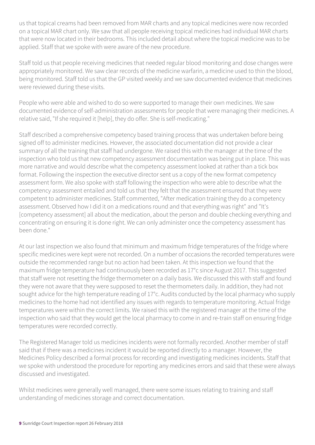us that topical creams had been removed from MAR charts and any topical medicines were now recorded on a topical MAR chart only. We saw that all people receiving topical medicines had individual MAR charts that were now located in their bedrooms. This included detail about where the topical medicine was to be applied. Staff that we spoke with were aware of the new procedure.

Staff told us that people receiving medicines that needed regular blood monitoring and dose changes were appropriately monitored. We saw clear records of the medicine warfarin, a medicine used to thin the blood, being monitored. Staff told us that the GP visited weekly and we saw documented evidence that medicines were reviewed during these visits.

People who were able and wished to do so were supported to manage their own medicines. We saw documented evidence of self-administration assessments for people that were managing their medicines. A relative said, "If she required it [help], they do offer. She is self-medicating."

Staff described a comprehensive competency based training process that was undertaken before being signed off to administer medicines. However, the associated documentation did not provide a clear summary of all the training that staff had undergone. We raised this with the manager at the time of the inspection who told us that new competency assessment documentation was being put in place. This was more narrative and would describe what the competency assessment looked at rather than a tick box format. Following the inspection the executive director sent us a copy of the new format competency assessment form. We also spoke with staff following the inspection who were able to describe what the competency assessment entailed and told us that they felt that the assessment ensured that they were competent to administer medicines. Staff commented, "After medication training they do a competency assessment. Observed how I did it on a medications round and that everything was right" and "It's [competency assessment] all about the medication, about the person and double checking everything and concentrating on ensuring it is done right. We can only administer once the competency assessment has been done."

At our last inspection we also found that minimum and maximum fridge temperatures of the fridge where specific medicines were kept were not recorded. On a number of occasions the recorded temperatures were outside the recommended range but no action had been taken. At this inspection we found that the maximum fridge temperature had continuously been recorded as 17°c since August 2017. This suggested that staff were not resetting the fridge thermometer on a daily basis. We discussed this with staff and found they were not aware that they were supposed to reset the thermometers daily. In addition, they had not sought advice for the high temperature reading of 17°c. Audits conducted by the local pharmacy who supply medicines to the home had not identified any issues with regards to temperature monitoring. Actual fridge temperatures were within the correct limits. We raised this with the registered manager at the time of the inspection who said that they would get the local pharmacy to come in and re-train staff on ensuring fridge temperatures were recorded correctly.

The Registered Manager told us medicines incidents were not formally recorded. Another member of staff said that if there was a medicines incident it would be reported directly to a manager. However, the Medicines Policy described a formal process for recording and investigating medicines incidents. Staff that we spoke with understood the procedure for reporting any medicines errors and said that these were always discussed and investigated.

Whilst medicines were generally well managed, there were some issues relating to training and staff understanding of medicines storage and correct documentation.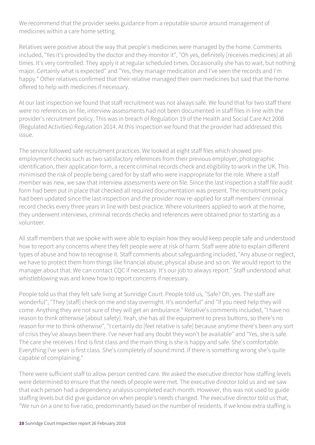We recommend that the provider seeks guidance from a reputable source around management of medicines within a care home setting.

Relatives were positive about the way that people's medicines were managed by the home. Comments included, "Yes it's provided by the doctor and they monitor it", "Oh yes, definitely [receives medicines] at all times. It's very controlled. They apply it at regular scheduled times. Occasionally she has to wait, but nothing major. Certainly what is expected" and "Yes, they manage medication and I've seen the records and I'm happy." Other relatives confirmed that their relative managed their own medicines but said that the home offered to help with medicines if necessary.

At our last inspection we found that staff recruitment was not always safe. We found that for two staff there were no references on file, interview assessments had not been documented in staff files in line with the provider's recruitment policy. This was in breach of Regulation 19 of the Health and Social Care Act 2008 (Regulated Activities) Regulation 2014. At this inspection we found that the provider had addressed this issue.

The service followed safe recruitment practices. We looked at eight staff files which showed preemployment checks such as two satisfactory references from their previous employer, photographic identification, their application form, a recent criminal records check and eligibility to work in the UK. This minimised the risk of people being cared for by staff who were inappropriate for the role. Where a staff member was new, we saw that interview assessments were on file. Since the last inspection a staff file audit form had been put in place that checked all required documentation was present. The recruitment policy had been updated since the last inspection and the provider now re-applied for staff members' criminal record checks every three years in line with best practice. Where volunteers applied to work at the home, they underwent interviews, criminal records checks and references were obtained prior to starting as a volunteer.

All staff members that we spoke with were able to explain how they would keep people safe and understood how to report any concerns where they felt people were at risk of harm. Staff were able to explain different types of abuse and how to recognise it. Staff comments about safeguarding included, "Any abuse or neglect, we have to protect them from things like financial abuse, physical abuse and so on. We would report to the manager about that. We can contact CQC if necessary. It's our job to always report." Staff understood what whistleblowing was and knew how to report concerns if necessary.

People told us that they felt safe living at Sunridge Court. People told us, "Safe? Oh, yes. The staff are wonderful", "They [staff] check on me and stay overnight. It's wonderful" and "If you need help they will come. Anything they are not sure of they will get an ambulance." Relative's comments included, "I have no reason to think otherwise [about safety]. Yeah, she has all the equipment to press buttons, so there's no reason for me to think otherwise", "I certainly do [feel relative is safe] because anytime there's been any sort of crisis they've always been there. I've never had any doubt they won't be available" and "Yes, she is safe. The care she receives I find is first class and the main thing is she is happy and safe. She's comfortable. Everything I've seen is first class. She's completely of sound mind. If there is something wrong she's quite capable of complaining."

There were sufficient staff to allow person centred care. We asked the executive director how staffing levels were determined to ensure that the needs of people were met. The executive director told us and we saw that each person had a dependency analysis completed each month. However, this was not used to guide staffing levels but did give guidance on when people's needs changed. The executive director told us that, "We run on a one to five ratio, predominantly based on the number of residents. If we know extra staffing is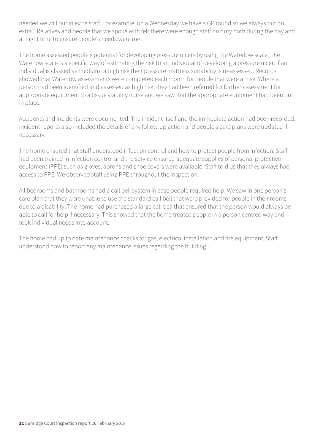needed we will put in extra staff. For example, on a Wednesday we have a GP round so we always put on extra." Relatives and people that we spoke with felt there were enough staff on duty both during the day and at night time to ensure people's needs were met.

The home assessed people's potential for developing pressure ulcers by using the Waterlow scale. The Waterlow scale is a specific way of estimating the risk to an individual of developing a pressure ulcer. If an individual is classed as medium or high risk their pressure mattress suitability is re-assessed. Records showed that Waterlow assessments were completed each month for people that were at risk. Where a person had been identified and assessed as high risk, they had been referred for further assessment for appropriate equipment to a tissue viability nurse and we saw that the appropriate equipment had been put in place.

Accidents and incidents were documented. The incident itself and the immediate action had been recorded. Incident reports also included the details of any follow-up action and people's care plans were updated if necessary.

The home ensured that staff understood infection control and how to protect people from infection. Staff had been trained in infection control and the service ensured adequate supplies of personal protective equipment (PPE) such as gloves, aprons and shoe covers were available. Staff told us that they always had access to PPE. We observed staff using PPE throughout the inspection.

All bedrooms and bathrooms had a call bell system in case people required help. We saw in one person's care plan that they were unable to use the standard call bell that were provided for people in their rooms due to a disability. The home had purchased a large call bell that ensured that the person would always be able to call for help if necessary. This showed that the home treated people in a person centred way and took individual needs into account.

The home had up to date maintenance checks for gas, electrical installation and fire equipment. Staff understood how to report any maintenance issues regarding the building.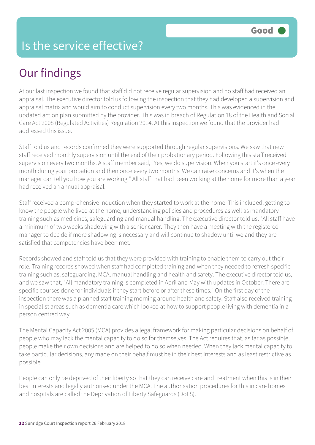## Is the service effective?

## Our findings

At our last inspection we found that staff did not receive regular supervision and no staff had received an appraisal. The executive director told us following the inspection that they had developed a supervision and appraisal matrix and would aim to conduct supervision every two months. This was evidenced in the updated action plan submitted by the provider. This was in breach of Regulation 18 of the Health and Social Care Act 2008 (Regulated Activities) Regulation 2014. At this inspection we found that the provider had addressed this issue.

Staff told us and records confirmed they were supported through regular supervisions. We saw that new staff received monthly supervision until the end of their probationary period. Following this staff received supervision every two months. A staff member said, "Yes, we do supervision. When you start it's once every month during your probation and then once every two months. We can raise concerns and it's when the manager can tell you how you are working." All staff that had been working at the home for more than a year had received an annual appraisal.

Staff received a comprehensive induction when they started to work at the home. This included, getting to know the people who lived at the home, understanding policies and procedures as well as mandatory training such as medicines, safeguarding and manual handling. The executive director told us, "All staff have a minimum of two weeks shadowing with a senior carer. They then have a meeting with the registered manager to decide if more shadowing is necessary and will continue to shadow until we and they are satisfied that competencies have been met."

Records showed and staff told us that they were provided with training to enable them to carry out their role. Training records showed when staff had completed training and when they needed to refresh specific training such as, safeguarding, MCA, manual handling and health and safety. The executive director told us, and we saw that, "All mandatory training is completed in April and May with updates in October. There are specific courses done for individuals if they start before or after these times." On the first day of the inspection there was a planned staff training morning around health and safety. Staff also received training in specialist areas such as dementia care which looked at how to support people living with dementia in a person centred way.

The Mental Capacity Act 2005 (MCA) provides a legal framework for making particular decisions on behalf of people who may lack the mental capacity to do so for themselves. The Act requires that, as far as possible, people make their own decisions and are helped to do so when needed. When they lack mental capacity to take particular decisions, any made on their behalf must be in their best interests and as least restrictive as possible.

People can only be deprived of their liberty so that they can receive care and treatment when this is in their best interests and legally authorised under the MCA. The authorisation procedures for this in care homes and hospitals are called the Deprivation of Liberty Safeguards (DoLS).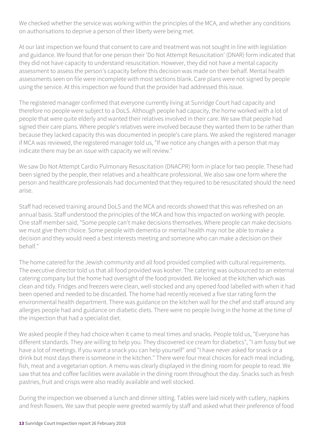We checked whether the service was working within the principles of the MCA, and whether any conditions on authorisations to deprive a person of their liberty were being met.

At our last inspection we found that consent to care and treatment was not sought in line with legislation and guidance. We found that for one person their 'Do Not Attempt Resuscitation' (DNAR) form indicated that they did not have capacity to understand resuscitation. However, they did not have a mental capacity assessment to assess the person's capacity before this decision was made on their behalf. Mental health assessments seen on file were incomplete with most sections blank. Care plans were not signed by people using the service. At this inspection we found that the provider had addressed this issue.

The registered manager confirmed that everyone currently living at Sunridge Court had capacity and therefore no people were subject to a DoLS. Although people had capacity, the home worked with a lot of people that were quite elderly and wanted their relatives involved in their care. We saw that people had signed their care plans. Where people's relatives were involved because they wanted them to be rather than because they lacked capacity this was documented in people's care plans. We asked the registered manager if MCA was reviewed, the registered manager told us, "If we notice any changes with a person that may indicate there may be an issue with capacity we will review."

We saw Do Not Attempt Cardio Pulmonary Resuscitation (DNACPR) form in place for two people. These had been signed by the people, their relatives and a healthcare professional. We also saw one form where the person and healthcare professionals had documented that they required to be resuscitated should the need arise.

Staff had received training around DoLS and the MCA and records showed that this was refreshed on an annual basis. Staff understood the principles of the MCA and how this impacted on working with people. One staff member said, "Some people can't make decisions themselves. Where people can make decisions we must give them choice. Some people with dementia or mental health may not be able to make a decision and they would need a best interests meeting and someone who can make a decision on their behalf."

The home catered for the Jewish community and all food provided complied with cultural requirements. The executive director told us that all food provided was kosher. The catering was outsourced to an external catering company but the home had oversight of the food provided. We looked at the kitchen which was clean and tidy. Fridges and freezers were clean, well-stocked and any opened food labelled with when it had been opened and needed to be discarded. The home had recently received a five star rating form the environmental health department. There was guidance on the kitchen wall for the chef and staff around any allergies people had and guidance on diabetic diets. There were no people living in the home at the time of the inspection that had a specialist diet.

We asked people if they had choice when it came to meal times and snacks. People told us, "Everyone has different standards. They are willing to help you. They discovered ice cream for diabetics", "I am fussy but we have a lot of meetings. If you want a snack you can help yourself" and "I have never asked for snack or a drink but most days there is someone in the kitchen." There were four meal choices for each meal including, fish, meat and a vegetarian option. A menu was clearly displayed in the dining room for people to read. We saw that tea and coffee facilities were available in the dining room throughout the day. Snacks such as fresh pastries, fruit and crisps were also readily available and well stocked.

During the inspection we observed a lunch and dinner sitting. Tables were laid nicely with cutlery, napkins and fresh flowers. We saw that people were greeted warmly by staff and asked what their preference of food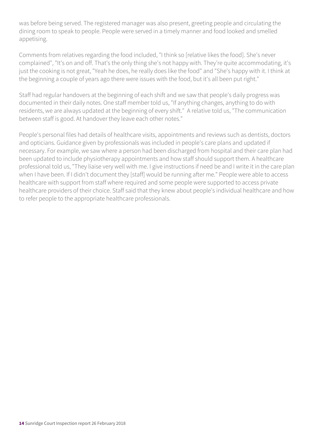was before being served. The registered manager was also present, greeting people and circulating the dining room to speak to people. People were served in a timely manner and food looked and smelled appetising.

Comments from relatives regarding the food included, "I think so [relative likes the food]. She's never complained", "It's on and off. That's the only thing she's not happy with. They're quite accommodating, it's just the cooking is not great, "Yeah he does, he really does like the food" and "She's happy with it. I think at the beginning a couple of years ago there were issues with the food, but it's all been put right."

Staff had regular handovers at the beginning of each shift and we saw that people's daily progress was documented in their daily notes. One staff member told us, "If anything changes, anything to do with residents, we are always updated at the beginning of every shift." A relative told us, "The communication between staff is good. At handover they leave each other notes."

People's personal files had details of healthcare visits, appointments and reviews such as dentists, doctors and opticians. Guidance given by professionals was included in people's care plans and updated if necessary. For example, we saw where a person had been discharged from hospital and their care plan had been updated to include physiotherapy appointments and how staff should support them. A healthcare professional told us, "They liaise very well with me. I give instructions if need be and I write it in the care plan when I have been. If I didn't document they [staff] would be running after me." People were able to access healthcare with support from staff where required and some people were supported to access private healthcare providers of their choice. Staff said that they knew about people's individual healthcare and how to refer people to the appropriate healthcare professionals.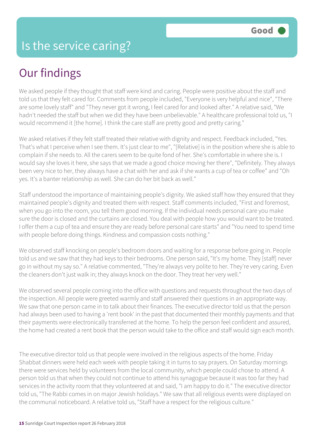## Our findings

We asked people if they thought that staff were kind and caring. People were positive about the staff and told us that they felt cared for. Comments from people included, "Everyone is very helpful and nice", "There are some lovely staff" and "They never got it wrong, I feel cared for and looked after." A relative said, "We hadn't needed the staff but when we did they have been unbelievable." A healthcare professional told us, "I would recommend it [the home]. I think the care staff are pretty good and pretty caring."

We asked relatives if they felt staff treated their relative with dignity and respect. Feedback included, "Yes. That's what I perceive when I see them. It's just clear to me", "[Relative] is in the position where she is able to complain if she needs to. All the carers seem to be quite fond of her. She's comfortable in where she is. I would say she loves it here, she says that we made a good choice moving her there", "Definitely. They always been very nice to her, they always have a chat with her and ask if she wants a cup of tea or coffee" and "Oh yes. It's a banter relationship as well. She can do her bit back as well."

Staff understood the importance of maintaining people's dignity. We asked staff how they ensured that they maintained people's dignity and treated them with respect. Staff comments included, "First and foremost, when you go into the room, you tell them good morning. If the individual needs personal care you make sure the door is closed and the curtains are closed. You deal with people how you would want to be treated. I offer them a cup of tea and ensure they are ready before personal care starts" and "You need to spend time with people before doing things. Kindness and compassion costs nothing."

We observed staff knocking on people's bedroom doors and waiting for a response before going in. People told us and we saw that they had keys to their bedrooms. One person said, "It's my home. They [staff] never go in without my say so." A relative commented, "They're always very polite to her. They're very caring. Even the cleaners don't just walk in; they always knock on the door. They treat her very well."

We observed several people coming into the office with questions and requests throughout the two days of the inspection. All people were greeted warmly and staff answered their questions in an appropriate way. We saw that one person came in to talk about their finances. The executive director told us that the person had always been used to having a 'rent book' in the past that documented their monthly payments and that their payments were electronically transferred at the home. To help the person feel confident and assured, the home had created a rent book that the person would take to the office and staff would sign each month.

The executive director told us that people were involved in the religious aspects of the home. Friday Shabbat dinners were held each week with people taking it in turns to say prayers. On Saturday mornings there were services held by volunteers from the local community, which people could chose to attend. A person told us that when they could not continue to attend his synagogue because it was too far they had services in the activity room that they volunteered at and said, "I am happy to do it." The executive director told us, "The Rabbi comes in on major Jewish holidays." We saw that all religious events were displayed on the communal noticeboard. A relative told us, "Staff have a respect for the religious culture."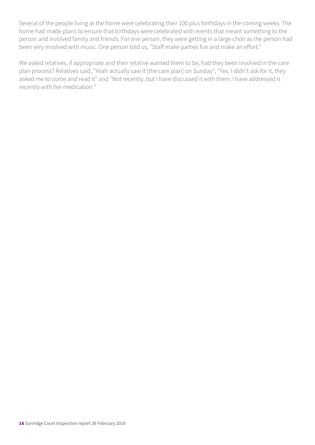Several of the people living at the home were celebrating their 100 plus birthdays in the coming weeks. The home had made plans to ensure that birthdays were celebrated with events that meant something to the person and involved family and friends. For one person, they were getting in a large choir as the person had been very involved with music. One person told us, "Staff make parties fun and make an effort."

We asked relatives, if appropriate and their relative wanted them to be, had they been involved in the care plan process? Relatives said, "Yeah actually saw it [the care plan] on Sunday", "Yes. I didn't ask for it, they asked me to come and read it" and "Not recently, but I have discussed it with them. I have addressed it recently with her medication."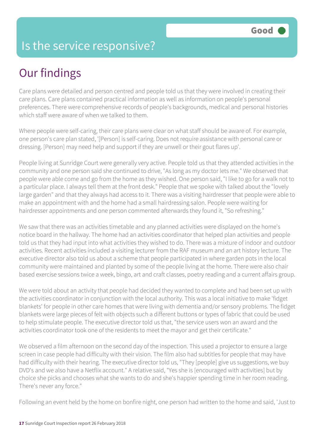## Is the service responsive?

## Our findings

Care plans were detailed and person centred and people told us that they were involved in creating their care plans. Care plans contained practical information as well as information on people's personal preferences. There were comprehensive records of people's backgrounds, medical and personal histories which staff were aware of when we talked to them.

Where people were self-caring, their care plans were clear on what staff should be aware of. For example, one person's care plan stated, '[Person] is self-caring. Does not require assistance with personal care or dressing. [Person] may need help and support if they are unwell or their gout flares up'.

People living at Sunridge Court were generally very active. People told us that they attended activities in the community and one person said she continued to drive, "As long as my doctor lets me." We observed that people were able come and go from the home as they wished. One person said, "I like to go for a walk not to a particular place. I always tell them at the front desk." People that we spoke with talked about the "lovely large garden" and that they always had access to it. There was a visiting hairdresser that people were able to make an appointment with and the home had a small hairdressing salon. People were waiting for hairdresser appointments and one person commented afterwards they found it, "So refreshing."

We saw that there was an activities timetable and any planned activities were displayed on the home's notice board in the hallway. The home had an activities coordinator that helped plan activities and people told us that they had input into what activities they wished to do. There was a mixture of indoor and outdoor activities. Recent activities included a visiting lecturer from the RAF museum and an art history lecture. The executive director also told us about a scheme that people participated in where garden pots in the local community were maintained and planted by some of the people living at the home. There were also chair based exercise sessions twice a week, bingo, art and craft classes, poetry reading and a current affairs group.

We were told about an activity that people had decided they wanted to complete and had been set up with the activities coordinator in conjunction with the local authority. This was a local initiative to make 'fidget blankets' for people in other care homes that were living with dementia and/or sensory problems. The fidget blankets were large pieces of felt with objects such a different buttons or types of fabric that could be used to help stimulate people. The executive director told us that, "the service users won an award and the activities coordinator took one of the residents to meet the mayor and get their certificate."

We observed a film afternoon on the second day of the inspection. This used a projector to ensure a large screen in case people had difficulty with their vision. The film also had subtitles for people that may have had difficulty with their hearing. The executive director told us, "They [people] give us suggestions, we buy DVD's and we also have a Netflix account." A relative said, "Yes she is [encouraged with activities] but by choice she picks and chooses what she wants to do and she's happier spending time in her room reading. There's never any force."

Following an event held by the home on bonfire night, one person had written to the home and said, 'Just to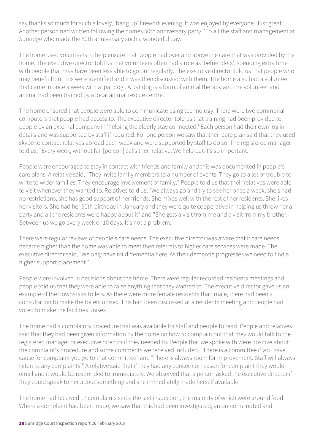say thanks so much for such a lovely, 'bang up' firework evening. It was enjoyed by everyone. Just great.' Another person had written following the homes 50th anniversary party, 'To all the staff and management at Sunridge who made the 50th anniversary such a wonderful day.'

The home used volunteers to help ensure that people had over and above the care that was provided by the home. The executive director told us that volunteers often had a role as 'befrienders', spending extra time with people that may have been less able to go out regularly. The executive director told us that people who may benefit from this were identified and it was then discussed with them. The home also had a volunteer that came in once a week with a 'pat dog'. A pat dog is a form of animal therapy and the volunteer and animal had been trained by a local animal rescue centre.

The home ensured that people were able to communicate using technology. There were two communal computers that people had access to. The executive director told us that training had been provided to people by an external company in 'helping the elderly stay connected.' Each person had their own log in details and was supported by staff if required. For one person we saw that their care plan said that they used skype to contact relatives abroad each week and were supported by staff to do so. The registered manager told us, "Every week, without fail [person] calls their relative. We help but it's so important."

People were encouraged to stay in contact with friends and family and this was documented in people's care plans. A relative said, "They invite family members to a number of events. They go to a lot of trouble to write to wider families. They encourage involvement of family." People told us that their relatives were able to visit whenever they wanted to. Relatives told us, "We always go and try to see her once a week, she's had no restrictions, she has good support of her friends. She mixes well with the rest of her residents. She likes her visitors. She had her 90th birthday in January and they were quite cooperative in helping us throw her a party and all the residents were happy about it" and "She gets a visit from me and a visit from my brother. Between us we go every week or 10 days. It's not a problem."

There were regular reviews of people's care needs. The executive director was aware that if care needs became higher than the home was able to meet then referrals to higher care services were made. The executive director said, "We only have mild dementia here. As their dementia progresses we need to find a higher support placement."

People were involved in decisions about the home. There were regular recorded residents meetings and people told us that they were able to raise anything that they wanted to. The executive director gave us an example of the downstairs toilets. As there were more female residents than male, there had been a consultation to make the toilets unisex. This had been discussed at a residents meeting and people had voted to make the facilities unisex.

The home had a complaints procedure that was available for staff and people to read. People and relatives said that they had been given information by the home on how to complain but that they would talk to the registered manager or executive director if they needed to. People that we spoke with were positive about the complaint's procedure and some comments we received included, "There is a committee if you have cause for complaint you go to that committee" and "There is always room for improvement. Staff will always listen to any complaints." A relative said that if they had any concern or reason for complaint they would email and it would be responded to immediately. We observed that a person asked the executive director if they could speak to her about something and she immediately made herself available.

The home had received 17 complaints since the last inspection, the majority of which were around food. Where a complaint had been made, we saw that this had been investigated, an outcome noted and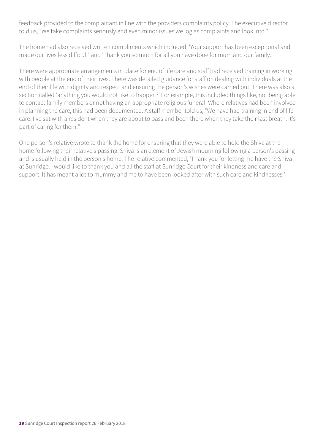feedback provided to the complainant in line with the providers complaints policy. The executive director told us, "We take complaints seriously and even minor issues we log as complaints and look into."

The home had also received written compliments which included, 'Your support has been exceptional and made our lives less difficult' and 'Thank you so much for all you have done for mum and our family.'

There were appropriate arrangements in place for end of life care and staff had received training in working with people at the end of their lives. There was detailed guidance for staff on dealing with individuals at the end of their life with dignity and respect and ensuring the person's wishes were carried out. There was also a section called 'anything you would not like to happen?' For example, this included things like, not being able to contact family members or not having an appropriate religious funeral. Where relatives had been involved in planning the care, this had been documented. A staff member told us, "We have had training in end of life care. I've sat with a resident when they are about to pass and been there when they take their last breath. It's part of caring for them."

One person's relative wrote to thank the home for ensuring that they were able to hold the Shiva at the home following their relative's passing. Shiva is an element of Jewish mourning following a person's passing and is usually held in the person's home. The relative commented, 'Thank you for letting me have the Shiva at Sunridge. I would like to thank you and all the staff at Sunridge Court for their kindness and care and support. It has meant a lot to mummy and me to have been looked after with such care and kindnesses.'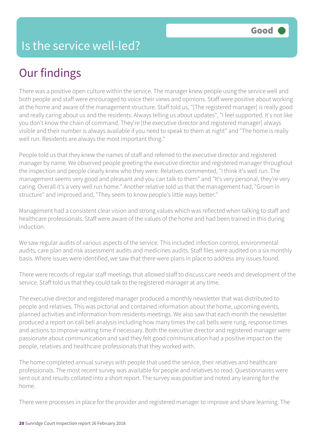## Our findings

There was a positive open culture within the service. The manager knew people using the service well and both people and staff were encouraged to voice their views and opinions. Staff were positive about working at the home and aware of the management structure. Staff told us, "[The registered manager] is really good and really caring about us and the residents. Always telling us about updates", "I feel supported. It's not like you don't know the chain of command. They're [the executive director and registered manager] always visible and their number is always available if you need to speak to them at night" and "The home is really well run. Residents are always the most important thing."

People told us that they knew the names of staff and referred to the executive director and registered manager by name. We observed people greeting the executive director and registered manager throughout the inspection and people clearly knew who they were. Relatives commented, "I think it's well run. The management seems very good and pleasant and you can talk to them" and "It's very personal, they're very caring. Overall it's a very well run home." Another relative told us that the management had, "Grown in structure" and improved and, "They seem to know people's little ways better."

Management had a consistent clear vision and strong values which was reflected when talking to staff and healthcare professionals. Staff were aware of the values of the home and had been trained in this during induction.

We saw regular audits of various aspects of the service. This included infection control, environmental audits, care plan and risk assessment audits and medicines audits. Staff files were audited on a six monthly basis. Where issues were identified, we saw that there were plans in place to address any issues found.

There were records of regular staff meetings that allowed staff to discuss care needs and development of the service. Staff told us that they could talk to the registered manager at any time.

The executive director and registered manager produced a monthly newsletter that was distributed to people and relatives. This was pictorial and contained information about the home, upcoming events, planned activities and information from residents meetings. We also saw that each month the newsletter produced a report on call bell analysis including how many times the call bells were rung, response times and actions to improve waiting time if necessary. Both the executive director and registered manager were passionate about communication and said they felt good communication had a positive impact on the people, relatives and healthcare professionals that they worked with.

The home completed annual surveys with people that used the service, their relatives and healthcare professionals. The most recent survey was available for people and relatives to read. Questionnaires were sent out and results collated into a short report. The survey was positive and noted any leaning for the home.

There were processes in place for the provider and registered manager to improve and share learning. The